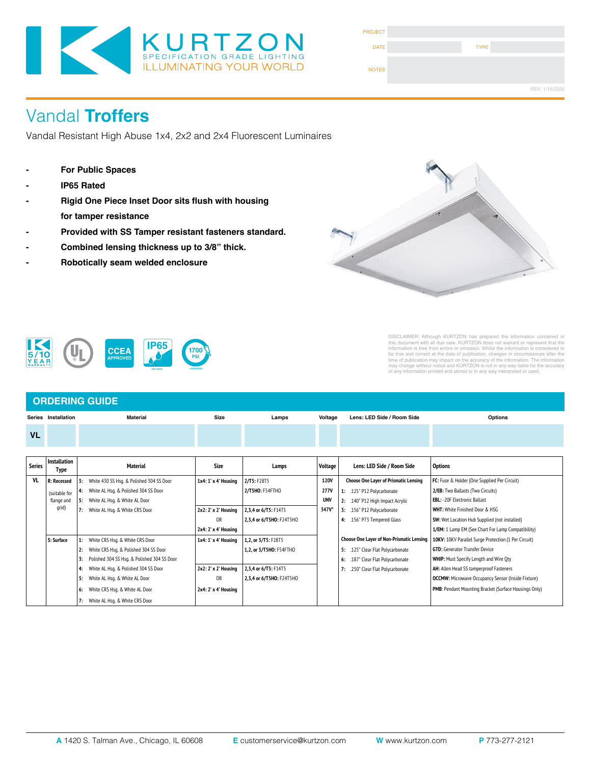

| <b>PROJECT</b> |             |                |
|----------------|-------------|----------------|
| <b>DATE</b>    | <b>TYPE</b> |                |
| <b>NOTES</b>   |             |                |
|                |             | REV: 1/16/2020 |

# Vandal **Troffers**

Vandal Resistant High Abuse 1x4, 2x2 and 2x4 Fluorescent Luminaires

- **- For Public Spaces**
- **- IP65 Rated**
- **Rigid One Piece Inset Door sits flush with housing for tamper resistance**
- **Provided with SS Tamper resistant fasteners standard.**

**IP65**

- **Combined lensing thickness up to 3/8" thick.**
- **Robotically seam welded enclosure**

**CCEA APPROVED**



DISCLAIMER: Although KURTZON has prepared the information contained in<br>this document with all due care, KURTZON does not warrant or represent that the<br>information is free from errors or omission. Whilst the information is

# **IEC 60529**

#### **ORDERING GUIDE Series Installation Material Size VL Lamps Voltage Lens: LED Side / Room Side Options**

**1700 PSI HOSEDOWN**

| Series | Installation<br>Type |    | <b>Material</b>                             | Size                 | Lamps                    | Voltage     | Lens: LED Side / Room Side                   | <b>Options</b>                                            |
|--------|----------------------|----|---------------------------------------------|----------------------|--------------------------|-------------|----------------------------------------------|-----------------------------------------------------------|
| VI.    | R: Recessed          | 3: | White 430 SS Hsq. & Polished 304 SS Door    | 1x4: 1' x 4' Housing | 2/T5: F28T5              | <b>120V</b> | <b>Choose One Layer of Prismatic Lensing</b> | FC: Fuse & Holder (One Supplied Per Circuit)              |
|        | (suitable for        |    | White AL Hsq. & Polished 304 SS Door        |                      | 2/T5HO: F54FTHO          | 277V        | 1: .125" P12 Polycarbonate                   | 2/EB: Two Ballasts (Two Circuits)                         |
|        | flange and           |    | White AL Hsg. & White AL Door               |                      |                          | <b>UNV</b>  | 2: .140" P12 High Impact Acrylic             | <b>EBL: -20F Electronic Ballast</b>                       |
|        | grid)                | 7: | White AL Hsg. & White CRS Door              | 2x2: 2' x 2' Housing | 2,3,4 or 6/T5: F14T5     | 347V*       | 3: .156" P12 Polycarbonate                   | <b>WHT:</b> White Finished Door & HSG                     |
|        |                      |    |                                             | <b>OR</b>            | 2,3,4 or 6/T5HO: F24T5HO |             | 4: .156" P73 Tempered Glass                  | <b>SW:</b> Wet Location Hub Supplied (not installed)      |
|        |                      |    |                                             | 2x4: 2' x 4' Housing |                          |             |                                              | 1/EM: 1 Lamp EM (See Chart For Lamp Compatibility)        |
|        | S: Surface           |    | White CRS Hsq. & White CRS Door             | 1x4: 1' x 4' Housing | 1,2, or 3/T5: F28T5      |             | Choose One Layer of Non-Prismatic Lensing    | 10KV: 10KV Parallel Surge Protection (1 Per Circuit)      |
|        |                      |    | White CRS Hsq. & Polished 304 SS Door       |                      | 1,2, or 3/T5HO: F54FTHO  |             | .125" Clear Flat Polycarbonate<br>5:         | <b>GTD:</b> Generator Transfer Device                     |
|        |                      | 3: | Polished 304 SS Hsq. & Polished 304 SS Door |                      |                          |             | .187" Clear Flat Polycarbonate<br>6:         | <b>WHIP:</b> Must Specify Length and Wire Oty             |
|        |                      | 4: | White AL Hsq. & Polished 304 SS Door        | 2x2: 2' x 2' Housing | 2,3,4 or 6/T5: F14T5     |             | .250" Clear Flat Polycarbonate               | AH: Allen Head SS tamperproof Fasteners                   |
|        |                      | 5: | White AL Hsq. & White AL Door               | <b>OR</b>            | 2,3,4 or 6/T5HO: F24T5HO |             |                                              | <b>OCCMW:</b> Microwave Occupancy Sensor (Inside Fixture) |
|        |                      | 6: | White CRS Hsq. & White AL Door              | 2x4: 2' x 4' Housing |                          |             |                                              | PMB: Pendant Mounting Bracket (Surface Housings Only)     |
|        |                      | 7: | White AL Hsg. & White CRS Door              |                      |                          |             |                                              |                                                           |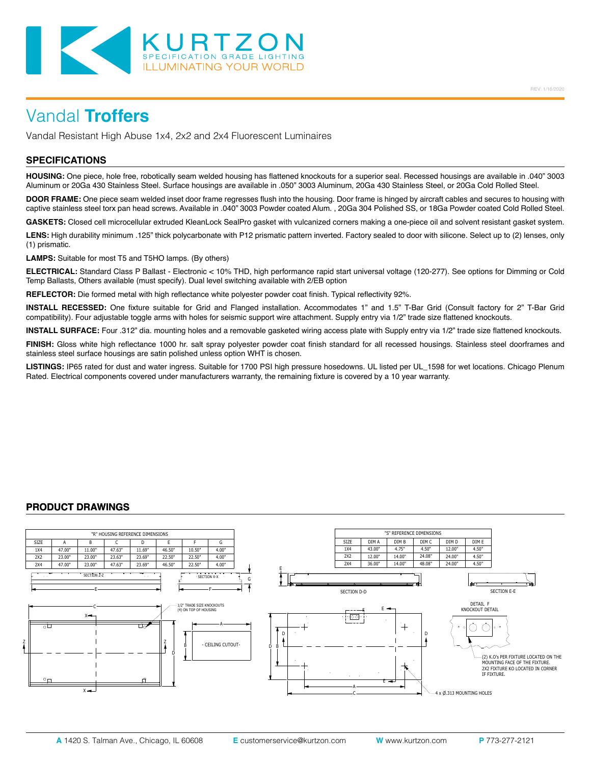

Vandal Resistant High Abuse 1x4, 2x2 and 2x4 Fluorescent Luminaires

### **SPECIFICATIONS**

**HOUSING:** One piece, hole free, robotically seam welded housing has flattened knockouts for a superior seal. Recessed housings are available in .040" 3003 Aluminum or 20Ga 430 Stainless Steel. Surface housings are available in .050" 3003 Aluminum, 20Ga 430 Stainless Steel, or 20Ga Cold Rolled Steel.

**DOOR FRAME:** One piece seam welded inset door frame regresses flush into the housing. Door frame is hinged by aircraft cables and secures to housing with captive stainless steel torx pan head screws. Available in .040" 3003 Powder coated Alum. , 20Ga 304 Polished SS, or 18Ga Powder coated Cold Rolled Steel.

**GASKETS:** Closed cell microcellular extruded KleanLock SealPro gasket with vulcanized corners making a one-piece oil and solvent resistant gasket system.

LENS: High durability minimum .125" thick polycarbonate with P12 prismatic pattern inverted. Factory sealed to door with silicone. Select up to (2) lenses, only (1) prismatic.

**LAMPS:** Suitable for most T5 and T5HO lamps. (By others)

**ELECTRICAL:** Standard Class P Ballast - Electronic < 10% THD, high performance rapid start universal voltage (120-277). See options for Dimming or Cold Temp Ballasts, Others available (must specify). Dual level switching available with 2/EB option

**REFLECTOR:** Die formed metal with high reflectance white polyester powder coat finish. Typical reflectivity 92%.

**INSTALL RECESSED:** One fixture suitable for Grid and Flanged installation. Accommodates 1" and 1.5" T-Bar Grid (Consult factory for 2" T-Bar Grid compatibility). Four adjustable toggle arms with holes for seismic support wire attachment. Supply entry via 1/2" trade size flattened knockouts.

**INSTALL SURFACE:** Four .312" dia. mounting holes and a removable gasketed wiring access plate with Supply entry via 1/2" trade size flattened knockouts.

**FINISH:** Gloss white high reflectance 1000 hr. salt spray polyester powder coat finish standard for all recessed housings. Stainless steel doorframes and stainless steel surface housings are satin polished unless option WHT is chosen.

**LISTINGS:** IP65 rated for dust and water ingress. Suitable for 1700 PSI high pressure hosedowns. UL listed per UL\_1598 for wet locations. Chicago Plenum Rated. Electrical components covered under manufacturers warranty, the remaining fixture is covered by a 10 year warranty.

### **PRODUCT DRAWINGS**